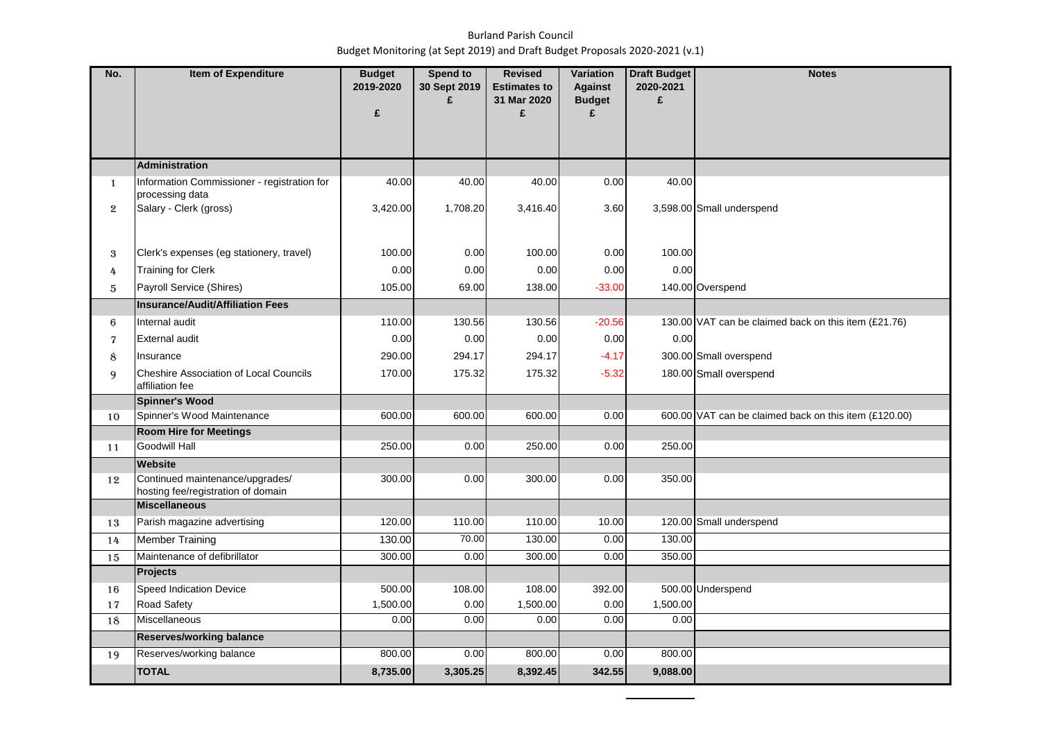## Burland Parish Council Budget Monitoring (at Sept 2019) and Draft Budget Proposals 2020-2021 (v.1)

| No.          | <b>Item of Expenditure</b>                    | <b>Budget</b><br>2019-2020 | Spend to<br>30 Sept 2019 | <b>Revised</b><br><b>Estimates to</b> | <b>Variation</b><br><b>Against</b> | <b>Draft Budget</b><br>2020-2021 | <b>Notes</b>                                          |
|--------------|-----------------------------------------------|----------------------------|--------------------------|---------------------------------------|------------------------------------|----------------------------------|-------------------------------------------------------|
|              |                                               |                            | £                        | 31 Mar 2020                           | <b>Budget</b>                      | £                                |                                                       |
|              |                                               | £                          |                          | £                                     | £                                  |                                  |                                                       |
|              |                                               |                            |                          |                                       |                                    |                                  |                                                       |
|              | <b>Administration</b>                         |                            |                          |                                       |                                    |                                  |                                                       |
| $\mathbf{1}$ | Information Commissioner - registration for   | 40.00                      | 40.00                    | 40.00                                 | 0.00                               | 40.00                            |                                                       |
|              | processing data                               |                            |                          |                                       |                                    |                                  |                                                       |
| $\mathbf{2}$ | Salary - Clerk (gross)                        | 3,420.00                   | 1,708.20                 | 3,416.40                              | 3.60                               |                                  | 3,598.00 Small underspend                             |
|              |                                               |                            |                          |                                       |                                    |                                  |                                                       |
| 3            | Clerk's expenses (eg stationery, travel)      | 100.00                     | 0.00                     | 100.00                                | 0.00                               | 100.00                           |                                                       |
| 4            | <b>Training for Clerk</b>                     | 0.00                       | 0.00                     | 0.00                                  | 0.00                               | 0.00                             |                                                       |
| 5            | Payroll Service (Shires)                      | 105.00                     | 69.00                    | 138.00                                | $-33.00$                           |                                  | 140.00 Overspend                                      |
|              | <b>Insurance/Audit/Affiliation Fees</b>       |                            |                          |                                       |                                    |                                  |                                                       |
| 6            | Internal audit                                | 110.00                     | 130.56                   | 130.56                                | $-20.56$                           |                                  | 130.00 VAT can be claimed back on this item (£21.76)  |
| 7            | <b>External audit</b>                         | 0.00                       | 0.00                     | 0.00                                  | 0.00                               | 0.00                             |                                                       |
| 8            | Insurance                                     | 290.00                     | 294.17                   | 294.17                                | $-4.17$                            |                                  | 300.00 Small overspend                                |
| 9            | <b>Cheshire Association of Local Councils</b> | 170.00                     | 175.32                   | 175.32                                | $-5.32$                            |                                  | 180.00 Small overspend                                |
|              | affiliation fee                               |                            |                          |                                       |                                    |                                  |                                                       |
| 10           | Spinner's Wood<br>Spinner's Wood Maintenance  | 600.00                     | 600.00                   | 600.00                                | 0.00                               |                                  | 600.00 VAT can be claimed back on this item (£120.00) |
|              | <b>Room Hire for Meetings</b>                 |                            |                          |                                       |                                    |                                  |                                                       |
| 11           | <b>Goodwill Hall</b>                          | 250.00                     | 0.00                     | 250.00                                | 0.00                               | 250.00                           |                                                       |
|              | <b>Website</b>                                |                            |                          |                                       |                                    |                                  |                                                       |
| 12           | Continued maintenance/upgrades/               | 300.00                     | 0.00                     | 300.00                                | 0.00                               | 350.00                           |                                                       |
|              | hosting fee/registration of domain            |                            |                          |                                       |                                    |                                  |                                                       |
|              | <b>Miscellaneous</b>                          |                            |                          |                                       |                                    |                                  |                                                       |
| 13           | Parish magazine advertising                   | 120.00                     | 110.00                   | 110.00                                | 10.00                              |                                  | 120.00 Small underspend                               |
| 14           | <b>Member Training</b>                        | 130.00                     | 70.00                    | 130.00                                | 0.00                               | 130.00                           |                                                       |
| 15           | Maintenance of defibrillator<br>Projects      | 300.00                     | 0.00                     | 300.00                                | 0.00                               | 350.00                           |                                                       |
|              | Speed Indication Device                       | 500.00                     | 108.00                   | 108.00                                | 392.00                             |                                  | 500.00 Underspend                                     |
| 16<br>17     | Road Safety                                   | 1,500.00                   | 0.00                     | 1,500.00                              | 0.00                               | 1,500.00                         |                                                       |
| 18           | <b>Miscellaneous</b>                          | 0.00                       | 0.00                     | 0.00                                  | 0.00                               | 0.00                             |                                                       |
|              | <b>Reserves/working balance</b>               |                            |                          |                                       |                                    |                                  |                                                       |
| 19           | Reserves/working balance                      | 800.00                     | 0.00                     | 800.00                                | 0.00                               | 800.00                           |                                                       |
|              | <b>TOTAL</b>                                  | 8,735.00                   | 3,305.25                 | 8,392.45                              | 342.55                             | 9,088.00                         |                                                       |